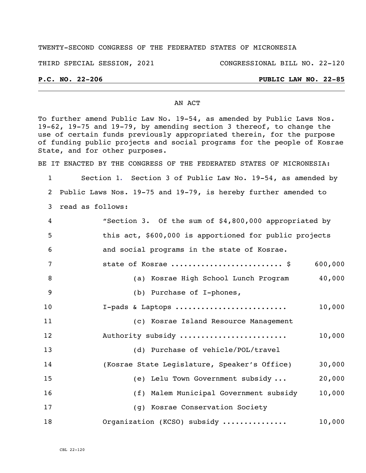### TWENTY-SECOND CONGRESS OF THE FEDERATED STATES OF MICRONESIA

THIRD SPECIAL SESSION, 2021 CONGRESSIONAL BILL NO. 22-120

### **P.C. NO. 22-206 PUBLIC LAW NO. 22-85**

#### AN ACT

To further amend Public Law No. 19-54, as amended by Public Laws Nos. 19-62, 19-75 and 19-79, by amending section 3 thereof, to change the use of certain funds previously appropriated therein, for the purpose of funding public projects and social programs for the people of Kosrae State, and for other purposes.

BE IT ENACTED BY THE CONGRESS OF THE FEDERATED STATES OF MICRONESIA:

 Section 1. Section 3 of Public Law No. 19-54, as amended by Public Laws Nos. 19-75 and 19-79, is hereby further amended to read as follows:

| $\overline{4}$ | "Section 3. Of the sum of \$4,800,000 appropriated by  |         |
|----------------|--------------------------------------------------------|---------|
| 5              | this act, \$600,000 is apportioned for public projects |         |
| 6              | and social programs in the state of Kosrae.            |         |
| 7              | state of Kosrae  \$                                    | 600,000 |
| 8              | (a) Kosrae High School Lunch Program                   | 40,000  |
| $\overline{9}$ | (b) Purchase of I-phones,                              |         |
| 10             | I-pads & Laptops                                       | 10,000  |
| 11             | (c) Kosrae Island Resource Management                  |         |
| 12             | Authority subsidy                                      | 10,000  |
| 13             | (d) Purchase of vehicle/POL/travel                     |         |
| 14             | (Kosrae State Legislature, Speaker's Office)           | 30,000  |
| 15             | (e) Lelu Town Government subsidy                       | 20,000  |
| 16             | (f) Malem Municipal Government subsidy                 | 10,000  |
| 17             | (g) Kosrae Conservation Society                        |         |
| 18             | Organization (KCSO) subsidy                            | 10,000  |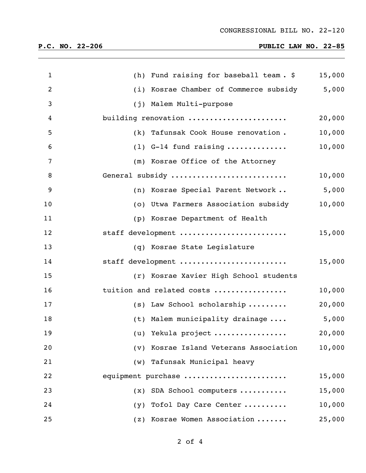# **P.C. NO. 22-206 PUBLIC LAW NO. 22-85**

| $\mathbf{1}$   |     | (h) Fund raising for baseball team. \$ | 15,000 |
|----------------|-----|----------------------------------------|--------|
| $\overline{2}$ |     | (i) Kosrae Chamber of Commerce subsidy | 5,000  |
| 3              |     | (j) Malem Multi-purpose                |        |
| 4              |     | building renovation                    | 20,000 |
| 5              |     | (k) Tafunsak Cook House renovation.    | 10,000 |
| 6              |     | $(1)$ G-14 fund raising                | 10,000 |
| 7              |     | (m) Kosrae Office of the Attorney      |        |
| 8              |     | General subsidy                        | 10,000 |
| 9              |     | (n) Kosrae Special Parent Network      | 5,000  |
| 10             |     | (o) Utwa Farmers Association subsidy   | 10,000 |
| 11             |     | (p) Kosrae Department of Health        |        |
| 12             |     | staff development                      | 15,000 |
| 13             |     | (q) Kosrae State Legislature           |        |
| 14             |     | staff development                      | 15,000 |
| 15             |     | (r) Kosrae Xavier High School students |        |
| 16             |     | tuition and related costs              | 10,000 |
| 17             |     | (s) Law School scholarship             | 20,000 |
| 18             |     | (t) Malem municipality drainage        | 5,000  |
| 19             |     | (u) Yekula project                     | 20,000 |
| 20             |     | (v) Kosrae Island Veterans Association | 10,000 |
| 21             |     | (w) Tafunsak Municipal heavy           |        |
| 22             |     | equipment purchase                     | 15,000 |
| 23             | (x) | SDA School computers                   | 15,000 |
| 24             | (y) | Tofol Day Care Center                  | 10,000 |
| 25             |     | (z) Kosrae Women Association           | 25,000 |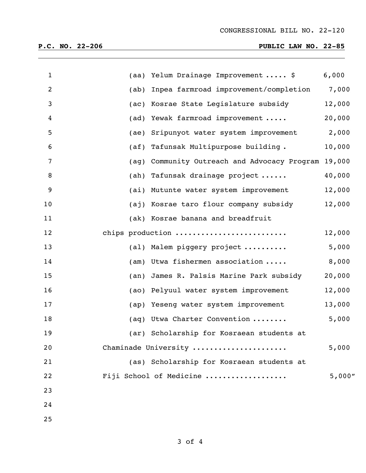| $\mathbf{1}$   |      | (aa) Yelum Drainage Improvement  \$            | 6,000  |
|----------------|------|------------------------------------------------|--------|
| $\overline{2}$ | (ab) | Inpea farmroad improvement/completion          | 7,000  |
| 3              |      | (ac) Kosrae State Legislature subsidy          | 12,000 |
| 4              |      | (ad) Yewak farmroad improvement                | 20,000 |
| 5              |      | (ae) Sripunyot water system improvement        | 2,000  |
| 6              |      | (af) Tafunsak Multipurpose building.           | 10,000 |
| 7              | (aq) | Community Outreach and Advocacy Program 19,000 |        |
| 8              |      | (ah) Tafunsak drainage project                 | 40,000 |
| 9              |      | (ai) Mutunte water system improvement          | 12,000 |
| 10             |      | (aj) Kosrae taro flour company subsidy         | 12,000 |
| 11             |      | (ak) Kosrae banana and breadfruit              |        |
| 12             |      | chips production                               | 12,000 |
| 13             |      | (al) Malem piggery project                     | 5,000  |
| 14             |      | (am) Utwa fishermen association                | 8,000  |
| 15             | (an) | James R. Palsis Marine Park subsidy            | 20,000 |
| 16             |      | (ao) Pelyuul water system improvement          | 12,000 |
| 17             |      | (ap) Yeseng water system improvement           | 13,000 |
| 18             |      | (aq) Utwa Charter Convention                   | 5,000  |
| 19             |      | (ar) Scholarship for Kosraean students at      |        |
| 20             |      | Chaminade University                           | 5,000  |
| 21             |      | (as) Scholarship for Kosraean students at      |        |
| 22             |      | Fiji School of Medicine                        | 5,000" |
| 23             |      |                                                |        |
| 24             |      |                                                |        |
| 25             |      |                                                |        |